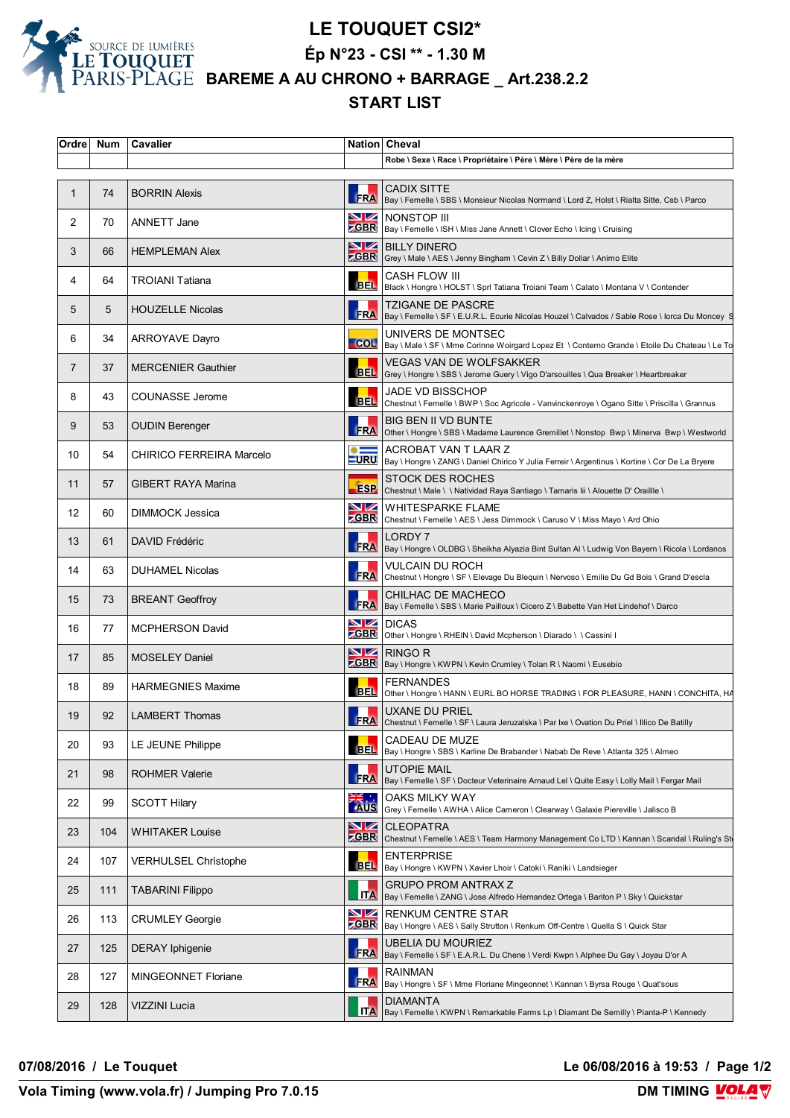

## **LE TOUQUET CSI2\***

**Ép N°23 - CSI \*\* - 1.30 M**

 **BAREME A AU CHRONO + BARRAGE \_ Art.238.2.2**

## **START LIST**

| Ordre       | <b>Num</b> | Cavalier                    |                               | Nation Cheval                                                                                                                |
|-------------|------------|-----------------------------|-------------------------------|------------------------------------------------------------------------------------------------------------------------------|
|             |            |                             |                               | Robe \ Sexe \ Race \ Propriétaire \ Père \ Mère \ Père de la mère                                                            |
| $\mathbf 1$ | 74         | <b>BORRIN Alexis</b>        | <b>FRA</b>                    | <b>CADIX SITTE</b><br>Bay \ Femelle \ SBS \ Monsieur Nicolas Normand \ Lord Z, Holst \ Rialta Sitte, Csb \ Parco             |
| 2           | 70         | ANNETT Jane                 | VZ                            | NONSTOP III<br>ZGBR   Bay \ Femelle \ ISH \ Miss Jane Annett \ Clover Echo \ Icing \ Cruising                                |
| 3           | 66         | <b>HEMPLEMAN Alex</b>       | VZ                            | <b>BILLY DINERO</b><br><b>CGBR</b> Grey \ Male \ AES \ Jenny Bingham \ Cevin Z \ Billy Dollar \ Animo Elite                  |
| 4           | 64         | <b>TROIANI Tatiana</b>      | <b>BEL</b>                    | CASH FLOW III<br>Black \ Hongre \ HOLST \ Sprl Tatiana Troiani Team \ Calato \ Montana V \ Contender                         |
| 5           | 5          | <b>HOUZELLE Nicolas</b>     | <b>ERA</b>                    | <b>TZIGANE DE PASCRE</b><br>Bay \ Femelle \ SF \ E.U.R.L. Ecurie Nicolas Houzel \ Calvados / Sable Rose \ lorca Du Moncey S  |
| 6           | 34         | <b>ARROYAVE Dayro</b>       | $-$ COL                       | UNIVERS DE MONTSEC<br>Bay \ Male \ SF \ Mme Corinne Woirgard Lopez Et \ Conterno Grande \ Etoile Du Chateau \ Le To          |
| 7           | 37         | <b>MERCENIER Gauthier</b>   | <b>BEL</b>                    | <b>VEGAS VAN DE WOLFSAKKER</b><br>Grey \ Hongre \ SBS \ Jerome Guery \ Vigo D'arsouilles \ Qua Breaker \ Heartbreaker        |
| 8           | 43         | <b>COUNASSE Jerome</b>      | <b>BEL</b>                    | <b>JADE VD BISSCHOP</b><br>Chestnut \ Femelle \ BWP \ Soc Agricole - Vanvinckenroye \ Ogano Sitte \ Priscilla \ Grannus      |
| 9           | 53         | <b>OUDIN Berenger</b>       | <b>FRA</b>                    | BIG BEN II VD BUNTE<br>Other \ Hongre \ SBS \ Madame Laurence Gremillet \ Nonstop Bwp \ Minerva Bwp \ Westworld              |
| 10          | 54         | CHIRICO FERREIRA Marcelo    | $\ast =$                      | ACROBAT VAN T LAAR Z<br>URU   Bay \ Hongre \ ZANG \ Daniel Chirico Y Julia Ferreir \ Argentinus \ Kortine \ Cor De La Bryere |
| 11          | 57         | <b>GIBERT RAYA Marina</b>   | <b>ESP</b>                    | <b>STOCK DES ROCHES</b><br>Chestnut \ Male \ \ Natividad Raya Santiago \ Tamaris lii \ Alouette D' Oraillle \                |
| 12          | 60         | DIMMOCK Jessica             | $\blacksquare$<br><b>ZGBR</b> | WHITESPARKE FLAME<br>Chestnut \ Femelle \ AES \ Jess Dimmock \ Caruso V \ Miss Mayo \ Ard Ohio                               |
| 13          | 61         | DAVID Frédéric              | <b>FRA</b>                    | LORDY 7<br>Bay \ Hongre \ OLDBG \ Sheikha Alyazia Bint Sultan Al \ Ludwig Von Bayern \ Ricola \ Lordanos                     |
| 14          | 63         | <b>DUHAMEL Nicolas</b>      | <b>FRA</b>                    | VULCAIN DU ROCH<br>Chestnut \ Hongre \ SF \ Elevage Du Blequin \ Nervoso \ Emilie Du Gd Bois \ Grand D'escla                 |
| 15          | 73         | <b>BREANT Geoffroy</b>      | FRA                           | CHILHAC DE MACHECO<br>Bay \ Femelle \ SBS \ Marie Pailloux \ Cicero Z \ Babette Van Het Lindehof \ Darco                     |
| 16          | 77         | <b>MCPHERSON David</b>      | NZ                            | <b>DICAS</b><br>CBR Other \ Hongre \ RHEIN \ David Mcpherson \ Diarado \ \ Cassini I                                         |
| 17          | 85         | <b>MOSELEY Daniel</b>       | NZ                            | RINGO R<br><b>CBR</b>   Bay \ Hongre \ KWPN \ Kevin Crumley \ Tolan R \ Naomi \ Eusebio                                      |
| 18          | 89         | <b>HARMEGNIES Maxime</b>    | BEL                           | <b>FERNANDES</b><br>Other \ Hongre \ HANN \ EURL BO HORSE TRADING \ FOR PLEASURE, HANN \ CONCHITA, HA                        |
| 19          | 92         | <b>LAMBERT Thomas</b>       |                               | <b>UXANE DU PRIEL</b><br>FRA Chestnut \ Femelle \ SF \ Laura Jeruzalska \ Par Ixe \ Ovation Du Priel \ Illico De Batilly     |
| 20          | 93         | LE JEUNE Philippe           | BEL                           | CADEAU DE MUZE<br>Bay \ Hongre \ SBS \ Karline De Brabander \ Nabab De Reve \ Atlanta 325 \ Almeo                            |
| 21          | 98         | <b>ROHMER Valerie</b>       | FRA                           | <b>UTOPIE MAIL</b><br>Bay \ Femelle \ SF \ Docteur Veterinaire Arnaud Lel \ Quite Easy \ Lolly Mail \ Fergar Mail            |
| 22          | 99         | <b>SCOTT Hilary</b>         | <b>XK </b><br>AUS             | OAKS MILKY WAY<br>Grey \ Femelle \ AWHA \ Alice Cameron \ Clearway \ Galaxie Piereville \ Jalisco B                          |
| 23          | 104        | <b>WHITAKER Louise</b>      | <u>NZ</u><br><b>GBR</b>       | <b>CLEOPATRA</b><br>Chestnut \ Femelle \ AES \ Team Harmony Management Co LTD \ Kannan \ Scandal \ Ruling's St               |
| 24          | 107        | <b>VERHULSEL Christophe</b> | <b>BEL</b>                    | <b>ENTERPRISE</b><br>Bay \ Hongre \ KWPN \ Xavier Lhoir \ Catoki \ Raniki \ Landsieger                                       |
| 25          | 111        | <b>TABARINI Filippo</b>     | <b>ITA</b>                    | <b>GRUPO PROM ANTRAX Z</b><br>Bay \ Femelle \ ZANG \ Jose Alfredo Hernandez Ortega \ Bariton P \ Sky \ Quickstar             |
| 26          | 113        | <b>CRUMLEY Georgie</b>      | VZ<br><b>ZGBR</b>             | RENKUM CENTRE STAR<br>Bay \ Hongre \ AES \ Sally Strutton \ Renkum Off-Centre \ Quella S \ Quick Star                        |
| 27          | 125        | <b>DERAY</b> Iphigenie      | <b>FRA</b>                    | <b>UBELIA DU MOURIEZ</b><br>Bay \ Femelle \ SF \ E.A.R.L. Du Chene \ Verdi Kwpn \ Alphee Du Gay \ Joyau D'or A               |
| 28          | 127        | <b>MINGEONNET Floriane</b>  | <b>FRA</b>                    | RAINMAN<br>Bay \ Hongre \ SF \ Mme Floriane Mingeonnet \ Kannan \ Byrsa Rouge \ Quat'sous                                    |
| 29          | 128        | VIZZINI Lucia               | <b>ITA</b>                    | <b>DIAMANTA</b><br>Bay \ Femelle \ KWPN \ Remarkable Farms Lp \ Diamant De Semilly \ Pianta-P \ Kennedy                      |

**07/08/2016 / Le Touquet Le 06/08/2016 à 19:53 / Page 1/2**